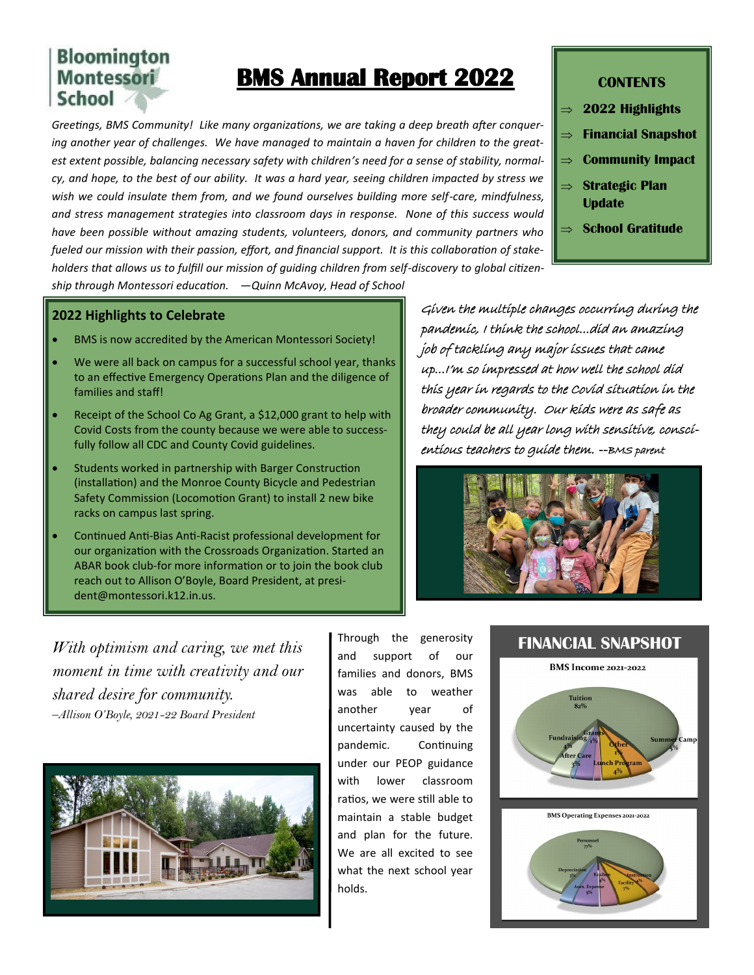## **Bloomington Montessori School**

# **BMS Annual Report 2022**

*Greetings, BMS Community! Like many organizations, we are taking a deep breath after conquering another year of challenges. We have managed to maintain a haven for children to the greatest extent possible, balancing necessary safety with children's need for a sense of stability, normalcy, and hope, to the best of our ability. It was a hard year, seeing children impacted by stress we wish we could insulate them from, and we found ourselves building more self-care, mindfulness, and stress management strategies into classroom days in response. None of this success would have been possible without amazing students, volunteers, donors, and community partners who fueled our mission with their passion, effort, and financial support. It is this collaboration of stakeholders that allows us to fulfill our mission of guiding children from self-discovery to global citizen-*

#### **CONTENTS**

- **2022 Highlights**
- **Financial Snapshot**
- $\Rightarrow$  **Community Impact**
- **Strategic Plan Update**
- **School Gratitude**

*ship through Montessori education. —Quinn McAvoy, Head of School*

#### **2022 Highlights to Celebrate**

- BMS is now accredited by the American Montessori Society!
- We were all back on campus for a successful school year, thanks to an effective Emergency Operations Plan and the diligence of families and staff!
- Receipt of the School Co Ag Grant, a \$12,000 grant to help with Covid Costs from the county because we were able to successfully follow all CDC and County Covid guidelines.
- Students worked in partnership with Barger Construction (installation) and the Monroe County Bicycle and Pedestrian Safety Commission (Locomotion Grant) to install 2 new bike racks on campus last spring.
- Continued Anti-Bias Anti-Racist professional development for our organization with the Crossroads Organization. Started an ABAR book club-for more information or to join the book club reach out to Allison O'Boyle, Board President, at president@montessori.k12.in.us.

Given the multiple changes occurring during the pandemic, I think the school...did an amazing job of tackling any major issues that came up...I'm so impressed at how well the school did this year in regards to the Covid situation in the broader community. Our kids were as safe as they could be all year long with sensitive, conscientious teachers to guide them. --BMS parent



*With optimism and caring, we met this moment in time with creativity and our shared desire for community. –Allison O'Boyle, 2021-22 Board President*



Through the generosity and support of our families and donors, BMS was able to weather another year of uncertainty caused by the pandemic. Continuing under our PEOP guidance with lower classroom ratios, we were still able to maintain a stable budget and plan for the future. We are all excited to see what the next school year holds.